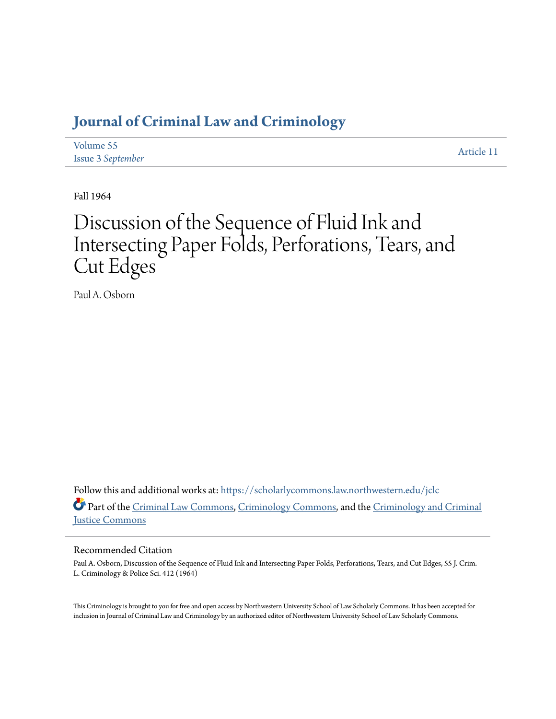# **[Journal of Criminal Law and Criminology](https://scholarlycommons.law.northwestern.edu/jclc?utm_source=scholarlycommons.law.northwestern.edu%2Fjclc%2Fvol55%2Fiss3%2F11&utm_medium=PDF&utm_campaign=PDFCoverPages)**

| Volume 55                | Article 11 |
|--------------------------|------------|
| <b>Issue 3 September</b> |            |

Fall 1964

# Discussion of the Sequence of Fluid Ink and Intersecting Paper Folds, Perforations, Tears, and Cut Edges

Paul A. Osborn

Follow this and additional works at: [https://scholarlycommons.law.northwestern.edu/jclc](https://scholarlycommons.law.northwestern.edu/jclc?utm_source=scholarlycommons.law.northwestern.edu%2Fjclc%2Fvol55%2Fiss3%2F11&utm_medium=PDF&utm_campaign=PDFCoverPages) Part of the [Criminal Law Commons](http://network.bepress.com/hgg/discipline/912?utm_source=scholarlycommons.law.northwestern.edu%2Fjclc%2Fvol55%2Fiss3%2F11&utm_medium=PDF&utm_campaign=PDFCoverPages), [Criminology Commons](http://network.bepress.com/hgg/discipline/417?utm_source=scholarlycommons.law.northwestern.edu%2Fjclc%2Fvol55%2Fiss3%2F11&utm_medium=PDF&utm_campaign=PDFCoverPages), and the [Criminology and Criminal](http://network.bepress.com/hgg/discipline/367?utm_source=scholarlycommons.law.northwestern.edu%2Fjclc%2Fvol55%2Fiss3%2F11&utm_medium=PDF&utm_campaign=PDFCoverPages) [Justice Commons](http://network.bepress.com/hgg/discipline/367?utm_source=scholarlycommons.law.northwestern.edu%2Fjclc%2Fvol55%2Fiss3%2F11&utm_medium=PDF&utm_campaign=PDFCoverPages)

### Recommended Citation

Paul A. Osborn, Discussion of the Sequence of Fluid Ink and Intersecting Paper Folds, Perforations, Tears, and Cut Edges, 55 J. Crim. L. Criminology & Police Sci. 412 (1964)

This Criminology is brought to you for free and open access by Northwestern University School of Law Scholarly Commons. It has been accepted for inclusion in Journal of Criminal Law and Criminology by an authorized editor of Northwestern University School of Law Scholarly Commons.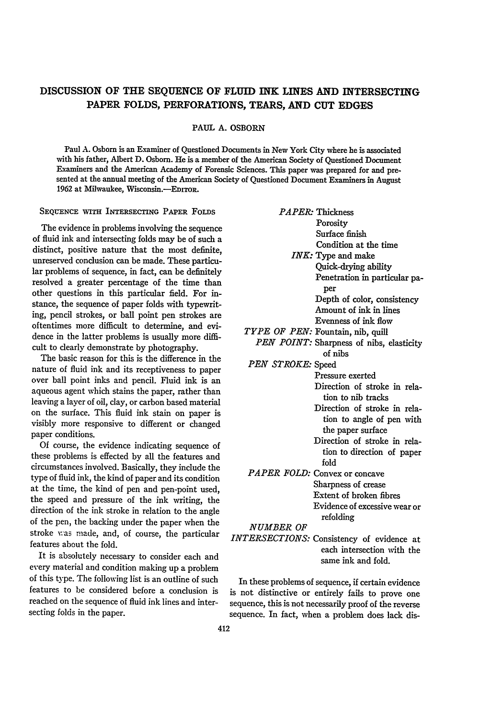## **DISCUSSION OF THE SEQUENCE OF FLUID INK LINES AND INTERSECTING PAPER FOLDS, PERFORATIONS, TEARS, AND CUT EDGES**

#### **PAUL A.** OSBORN

Paul **A.** Osbom is an Examiner of Questioned Documents in New York City where he is associated with his father, Albert **D.** Osbom. He is a member of the American Society of Questioned Document Examiners and the American Academy of Forensic Sciences. This paper was prepared for and presented at the annual meeting of the American Society of Questioned Document Examiners in August 1962 at Milwaukee, Wisconsin.-EDITOR.

#### SEQUENCE WITH INTERSECTING PAPER FOLDS

The evidence in problems involving the sequence of fluid ink and intersecting folds may be of such a distinct, positive nature that the most definite, unreserved conclusion can be made. These particular problems of sequence, in fact, can be definitely resolved a greater percentage of the time than other questions in this particular field. For instance, the sequence of paper folds with typewriting, pencil strokes, or ball point pen strokes are oftentimes more difficult to determine, and evidence in the latter problems is usually more difficult to clearly demonstrate **by** photography.

The basic reason for this is the difference in the nature of fluid ink and its receptiveness to paper over ball point inks and pencil. Fluid ink is an aqueous agent which stains the paper, rather than leaving a layer of oil, clay, or carbon based material on the surface. This fluid ink stain on paper is visibly more responsive to different or changed paper conditions.

Of course, the evidence indicating sequence of these problems is effected by all the features and circumstances involved. Basically, they include the type of fluid ink, the kind of paper and its condition at the time, the kind of pen and pen-point used, the speed and pressure of the ink writing, the direction of the ink stroke in relation to the angle of the pen, the backing under the paper when the stroke was made, and, of course, the particular features about the fold.

It is absolutely necessary to consider each and every material and condition making up a problem of this tvpe. The following list is an outline of such features to be considered before a conclusion is reached on the sequence of fluid ink lines and intersecting folds in the paper.

*PAPER..* Thickness Porosity Surface finish Condition at the time *INK:* Type and make Quick-drying ability Penetration in particular paper Depth of color, consistency Amount of ink in lines Evenness of ink flow *TYPE OF PEN:* Fountain, nib, quill *PEN POINT:* Sharpness of nibs, elasticity of nibs *PEN STROKE:* Speed Pressure exerted Direction of stroke in relation to nib tracks Direction of stroke in relation to angle of pen with the paper surface Direction of stroke in relation to direction of paper fold *PAPER FOLD:* Convex or concave Sharpness of crease Extent of broken fibres Evidence of excessive wear or refolding *NUMBER OF INTERSECTIONS:* Consistency of evidence at each intersection with the same ink and fold.

In these problems of sequence, if certain evidence is not distinctive or entirely fails to prove one sequence, this is not necessarily proof of the reverse sequence. In fact, when a problem does lack dis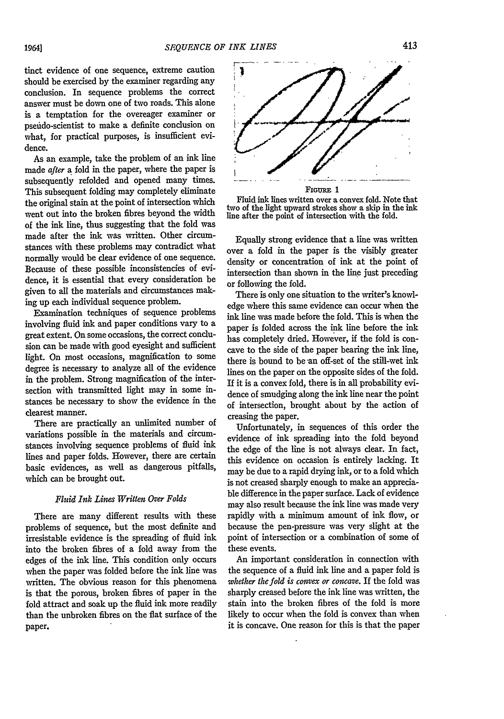tinct evidence of one sequence, extreme caution should be exercised by the examiner regarding any conclusion. In sequence problems the correct answer must be down one of two roads. This alone is a temptation for the overeager examiner or pseudo-scientist to make a definite conclusion on what, for practical purposes, is insufficient evidence.

As an example, take the problem of an ink line made after *a* fold in the paper, where the paper is subsequently refolded and opened many times. This subsequent folding may completely eliminate the original stain at the point of intersection which went out into the broken fibres beyond the width of the ink line, thus suggesting that the fold was made after the ink was written. Other circumstances with these problems may contradict what normally would be clear evidence of one sequence. Because of these possible inconsistencies of evidence, it is essential that every consideration be given to all the materials and circumstances making up each individual sequence problem.

Examination techniques of sequence problems involving fluid ink and paper conditions vary to a great extent. On some occasions, the correct conclusion can be made with good eyesight and sufficient light. On most occasions, magnification to some degree is necessary to analyze all of the evidence in the problem. Strong magnification of the intersection with transmitted light may in some instances be necessary to show the evidence in the clearest manner.

There are practically an unlimited number of variations possible in the materials and circumstances involving sequence problems of fluid ink lines and paper folds. However, there are certain basic evidences, as well as dangerous pitfalls, which can be brought out.

#### *Fluid Ink Lines Written Over Folds*

There are many different results with these problems of sequence, but the most definite and irresistable evidence is the spreading of fluid ink into the broken fibres of a fold away from the edges of the ink line. This condition only occurs when the paper was folded before the ink line was written. The obvious reason for this phenomena is that the porous, broken fibres of paper in the fold attract and soak up the fluid ink more readily than the unbroken fibres on the flat surface of the paper.



Fluid ink lines written over a convex fold. Note that two of the light upward strokes show a skip in the ink line after the point of intersection with the fold.

Equally strong evidence that a line was written over a fold in the paper is the visibly greater density or concentration of ink at the point of intersection than shown in the line just preceding or following the fold.

There is only one situation to the writer's knowledge where this same evidence can occur when the ink line was made before the fold. This is when the paper is folded across the ink line before the ink has completely dried. However, if the fold is concave to the side of the paper bearing the ink line, there is bound to be an off-set of the still-wet ink lines on the paper on the opposite sides of the fold. If it is a convex fold, there is in all probability evidence of smudging along the ink line near the point of intersection, brought about by the action of creasing the paper.

Unfortunately, in sequences of this order the evidence of ink spreading into the fold beyond the edge of the line is not always clear. In fact, this evidence on occasion is entirely lacking. It may be due to a rapid drying ink, or to a fold which is not creased sharply enough to make an appreciable difference in the paper surface. Lack of evidence may also result because the ink line was made very rapidly with a minimum amount of ink flow, or because the pen-pressure was very slight at the point of intersection or a combination of some of these events.

An important consideration in connection with the sequence of a fluid ink line and a paper fold is *whether the fold is convex or concave.* If the fold was sharply creased before the ink line was written, the stain into the broken fibres of the fold is more likely to occur when the fold is convex than when it is concave. One reason for this is that the paper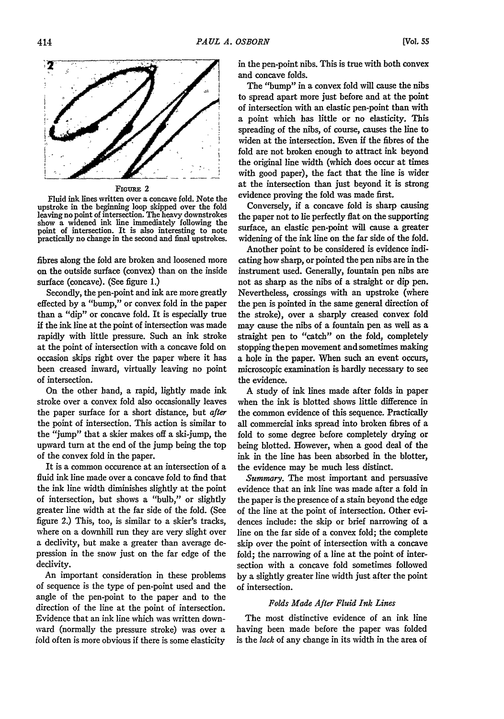

FIGURE 2

Fluid ink lines written over a concave fold. Note the upstroke in the beginning loop skipped over the fold leaving no point of intersection. The heavy downstrokes show a widened ink line immediately following the point of intersection. It is also interesting to note practically no change in the second and final upstrokes.

fibres along the fold are broken and loosened more on the outside surface (convex) than on the inside surface (concave). (See figure 1.)

Secondly, the pen-point and ink are more greatly effected by a "bump," or convex fold in the paper than a "dip" or concave fold. It is especially true if the ink line at the point of intersection was made rapidly with little pressure. Such an ink stroke at the point of intersection with a concave fold on occasion skips right over the paper where it has been creased inward, virtually leaving no point of intersection.

On the other hand, a rapid, lightly made ink stroke over a convex fold also occasionally leaves the paper surface for a short distance, but *after* the point of intersection. This action is similar to the "jump" that a skier makes off a ski-jump, the upward turn at the end of the jump being the top of the convex fold in the paper.

It is a common occurence at an intersection of a fluid ink line made over a concave fold to find that the ink line width diminishes slightly at the point of intersection, but shows a "bulb," or slightly greater line width at the far side of the fold. (See figure 2.) This, too, is similar to a skier's tracks, where on a downhill run they are very slight over a declivity, but make a greater than average depression in the snow just on the far edge of the declivity.

An important consideration in these problems of sequence is the type of pen-point used and the angle of the pen-point to the paper and to the direction of the line at the point of intersection. Evidence that an ink line which was written downward (normally the pressure stroke) was over a fold often is more obvious if there is some elasticity

in the pen-point nibs. This is true with both convex and concave folds.

The "bump" in a convex fold will cause the nibs to spread apart more just before and at the point of intersection with an elastic pen-point than with a point which has little or no elasticity. This spreading of the nibs, of course, causes the line to widen at the intersection. Even if the fibres of the fold are not broken enough to attract ink beyond the original line width (which does occur at times with good paper), the fact that the line is wider at the intersection than just beyond it is strong evidence proving the fold was made first.

Conversely, if a concave fold is sharp causing the paper not to lie perfectly flat on the supporting surface, an elastic pen-point will cause a greater widening of the ink line on the far side of the fold.

Another point to be considered is evidence indicating how sharp, or pointed the pen nibs are in the instrument used. Generally, fountain pen nibs are not as sharp as the nibs of a straight or dip pen. Nevertheless, crossings with an upstroke (where the pen is pointed in the same general direction of the stroke), over a sharply creased convex fold may cause the nibs of a fountain pen as well as a straight pen to "catch" on the fold, completely stopping thepen movement and sometimes making a hole in the paper. When such an event occurs, microscopic examination is hardly necessary to see the evidence.

A study of ink lines made after folds in paper when the ink is blotted shows little difference in the common evidence of this sequence. Practically all commercial inks spread into broken fibres of a fold to some degree before completely drying or being blotted. However, when a good deal of the ink in the line has been absorbed in the blotter, the evidence may be much less distinct.

*Summary.* The most important and persuasive evidence that an ink line was made after a fold in the paper is the presence of a stain beyond the edge of the line at the point of intersection. Other evidences include: the skip or brief narrowing of a line on the far side of a convex fold; the complete skip over the point of intersection with a concave fold; the narrowing of a line at the point of intersection with a concave fold sometimes followed by a slightly greater line width just after the point of intersection.

#### *Folds Made After Fluid Ink Lines*

The most distinctive evidence of an ink line having been made before the paper was folded is the *lack* of any change in its width in the area of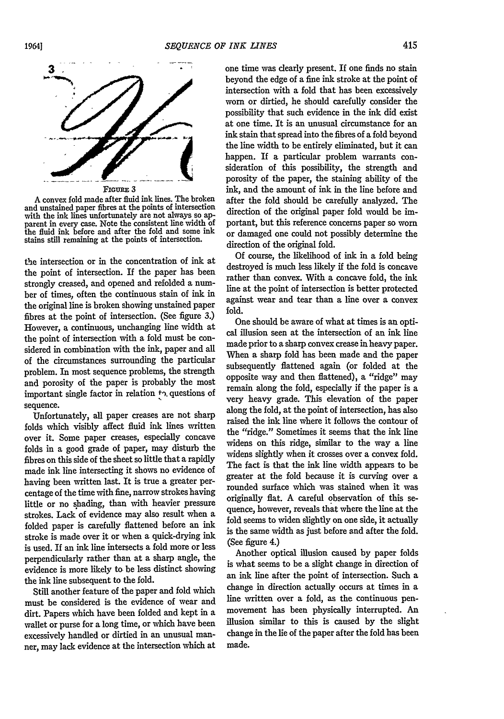

FIGURE 3

A convex fold made after fluid ink lines. The broken and unstained paper fibres at the points of intersection with the ink lines unfortunately are not always **so ap**parent in every case. Note the consistent line width of the fluid ink before and after the fold and some ink stains still remaining at the points of intersection.

the intersection or in the concentration of ink at the point of intersection. If the paper has been strongly creased, and opened and refolded a number of times, often the continuous stain of ink in the original line is broken showing unstained paper fibres at the point of intersection. (See figure 3.) However, a continuous, unchanging line width at the point of intersection with a fold must be considered in combination with the ink, paper and all of the circumstances surrounding the particular problem. In most sequence problems, the strength and porosity of the paper is probably the most important single factor in relation  $\tau_2$  questions of sequence.

Unfortunately, all paper creases are not sharp folds which visibly affect fluid ink lines written over it. Some paper creases, especially concave folds in a good grade of paper, may disturb the fibres on this side of the sheet so little that a rapidly made ink line intersecting it shows no evidence of having been written last. It is true a greater percentage of the time with fine, narrow strokes having little or no shading, than with heavier pressure strokes. Lack of evidence may also result when a folded paper is carefully flattened before an ink stroke is made over it or when a quick-drying ink is used. If an ink line intersects a fold more or less perpendicularly rather than at a sharp angle, the evidence is more likely **to** be less distinct showing the ink line subsequent to the fold.

Still another feature of the paper and fold which must be considered is the evidence of wear and dirt. Papers which have been folded and kept in a wallet or purse for a long time, or which have been excessively handled or dirtied in an unusual manner, may lack evidence at the intersection which at one time was dearly present. If one finds no stain beyond the edge of a fine ink stroke at the point of intersection with a fold that has been excessively worn or dirtied, he should carefully consider the possibility that such evidence in the ink did exist at one time. It is an unusual circumstance for an ink stain that spread into the fibres of a fold beyond the line width to be entirely eliminated, but it can happen. If a particular problem warrants consideration of this possibility, the strength and porosity of the paper, the staining ability of the ink, and the amount of ink in the line before and after the fold should be carefully analyzed. The direction of the original paper fold would be important, but this reference concerns paper so worn or damaged one could not possibly determine the direction of the original fold.

Of course, the likelihood of ink in a fold being destroyed is much less likely if the fold is concave rather than convex. With a concave fold, the ink line at the point of intersection is better protected against wear and tear than a line over a convex fold.

One should be aware of what at times is an optical illusion seen at the intersection of an ink line made prior to a sharp convex crease in heavy paper. When a sharp fold has been made and the paper subsequently flattened again (or folded at the opposite way and then flattened), a "ridge" may remain along the fold, especially if the paper is a very heavy grade. This elevation of the paper along the fold, at the point of intersection, has also raised the ink line where it follows the contour of the "ridge." Sometimes it seems that the ink line widens on this ridge, similar to the way a line widens slightly when it crosses over a convex fold. The fact is that the ink line width appears to be greater at the fold because it is curving over a rounded surface which was stained when it was originally flat. A careful observation of this sequence, however, reveals that where the line at the fold seems to widen slightly on one side, it actually is the same width as just before and after the fold. (See figure 4.)

Another optical illusion caused **by** paper folds is what seems to be a slight change in direction of an ink line after the point of intersection. Such a change in direction actually occurs at times in a line written over a fold, as the continuous penmovement has been physically interrupted. An illusion similar to this is caused **by** the slight change in the lie of the paper after the fold has been made.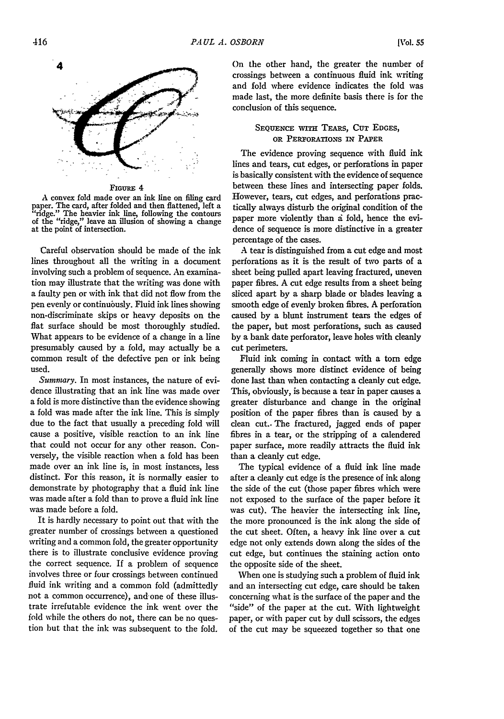

**FIGURE** 4

A convex fold made over an ink line on filing card paper. The card, after folded and then flattened, left a "ridge." The heavier ink line, following the contours of the "ridge," leave an illusion of showing a change at the point of intersection.

Careful observation should be made of the ink lines throughout all the writing in a document involving such a problem of sequence. An examination may illustrate that the writing was done with a faulty pen or with ink that did not flow from the pen evenly or continubusly. Fluid ink lines showing non-discriminate skips or heavy deposits on the flat surface should be most thoroughly studied. What appears to be evidence of a change in a line presumably caused by a fold, may actually be a common result of the defective pen or ink being used.

*Summary.* In most instances, the nature of evidence illustrating that an ink line was made over a fold is more distinctive than the evidence showing a fold was made after the ink line. This is simply due to the fact that usually a preceding fold will cause a positive, visible reaction to an ink line that could not occur for any other reason. Conversely, the visible reaction when a fold has been made over an ink line is, in most instances, less distinct. For this reason, it is normally easier to demonstrate by photography that a fluid ink line was made after a fold than to prove a fluid ink line was made before a fold.

It is hardly necessary to point out that with the greater number of crossings between a questioned writing and a common fold, the greater opportunity there is to illustrate conclusive evidence proving the correct sequence. If a problem of sequence involves three or four crossings between continued fluid ink writing and a common fold (admittedly not a common occurrence), and-one of these illustrate irrefutable evidence the ink went over the fold while the others do not, there can be no question but that the ink was subsequent to the fold.

On the other hand, the greater the number of crossings between a continuous fluid ink writing and fold where evidence indicates the fold was made last, the more definite basis there is for the conclusion of this sequence.

#### SEQUENCE **WITH** TEARS, **CuT** EDGES, OR PERFORATIONS IN PAPER

The evidence proving sequence with fluid ink lines and tears, cut edges, or perforations in paper is basically consistent with the evidence of sequence between these lines and intersecting paper folds. However, tears, cut edges, and perforations practically always disturb the original condition of the paper more violently than *d* fold, hence the evidence of sequence is more distinctive in a greater percentage of the cases.

A tear is distinguished from a cut edge and most perforations as it is the result of two parts of a sheet being pulled apart leaving fractured, uneven paper fibres. A cut edge results from a sheet being sliced apart by a sharp blade or blades leaving a smooth edge of evenly broken fibres. A perforation caused by a blunt instrument tears the edges of the paper, but most perforations, such as caused by a bank date perforator, leave holes with cleanly cut perimeters.

Fluid ink coming in contact with a torn edge generally shows more distinct evidence of being done last than when contacting a cleanly cut edge. This, obviously, is because a tear in paper causes a greater disturbance and change in the original position of the paper fibres than is caused by a clean cut.. The fractured, jagged ends of paper fibres in a tear, or the stripping of a calendered paper surface, more readily attracts the fluid ink than a cleanly cut edge.

The typical evidence of a fluid ink line made after a cleanly cut edge is the presence of ink along the side of the cut (those paper fibres which were not exposed to the surface of the paper before it was cut). The heavier the intersecting ink line, the more pronounced is the ink along the side of the cut sheet. Often, a heavy ink line over a cut edge not only extends down along the sides of the cut edge, but continues the staining action onto the opposite side of the sheet.

When one is studying such a problem of fluid ink and an intersecting cut edge, care should be taken concerning what is the surface of the paper and the "side" of the paper at the cut. With lightweight paper, or with paper cut **by** dull scissors, the edges of the cut may be squeezed together so that one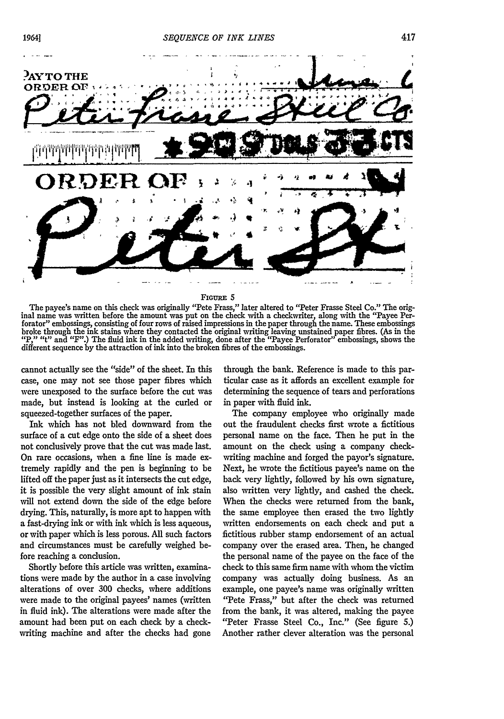

**FIGuRE** 5

The payee's name on this check was originally "Pete Frass," later altered to "Peter Frasse Steel Co." The orig- inal name was written before the amount was put on the check with a checkwriter, along with the "Payee Perforator" embossings, consisting of four rows of raised impressions in the paper through the name. These embossings broke through the ink stains where they contacted the original writing leaving unstained paper fibres. (As in the  $(P_1)$ " "t" and "F".) The fluid ink in the added writing, done after the "Payee Perforator" embossings, sho different sequence **by** the attraction of ink into the broken fibres of the embossings.

cannot actually see the "side" of the sheet. In this case, one may not see those paper fibres which were unexposed to the surface before the cut was made, but instead is looking at the curled or squeezed-together surfaces of the paper.

Ink which has not bled downward from the surface of a cut edge onto the side of a sheet does not conclusively prove that the cut was made last. On rare occasions, when a fine line is made extremely rapidly and the pen is beginning to be lifted off the paper just as it intersects the cut edge, it is possible the very slight amount of ink stain will not extend down the side of the edge before drying. This, naturally, is more apt to happen with a fast-drying ink or with ink which is less aqueous, or with paper which is less porous. All such factors and circumstances must be carefully weighed before reaching a conclusion.

Shortly before this article was written, examinations were made by the author in a case involving alterations of over 300 checks, where additions were made to the original payees' names (written in fluid ink). The alterations were made after the amount had been put on each check by a checkwriting machine and after the checks had gone

through the bank. Reference is made to this particular case as it affords an excellent example for determining the sequence of tears and perforations in paper with fluid ink.

The company employee who originally made out the fraudulent checks first wrote a fictitious personal name on the face. Then he put in the amount on the check using a company checkwriting machine and forged the payor's signature. Next, he wrote the fictitious payee's name on the back very lightly, followed by his own signature, also written very lightly, and cashed the check. When the checks were returned from the bank, the same employee then erased the two lightly written endorsements on each check and put a fictitious rubber stamp endorsement of an actual company over the erased area. Then, he changed the personal name of the payee on the face of the check to this same firm name with whom the victim company was actually doing business. As an example, one payee's name was originally written 'Tete Frass," but after the check was returned from the bank, it was altered, making the payee "Peter Frasse Steel Co., Inc." (See figure 5.) Another rather clever alteration was the personal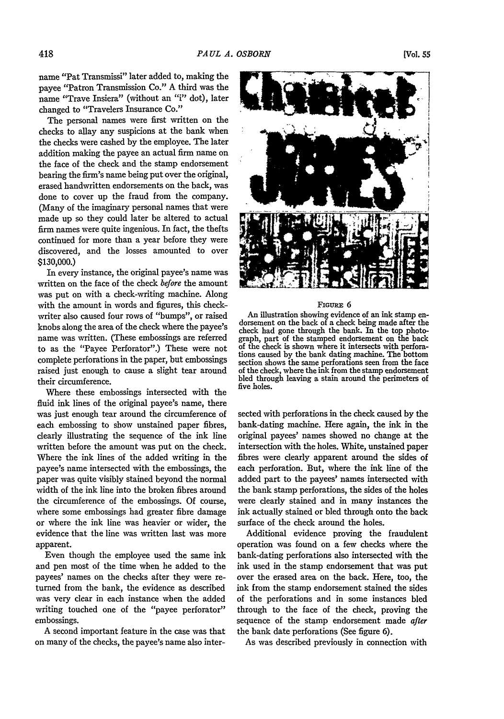name "Pat Transmissi" later added to, making the payee "Patron Transmission Co." A third was the name "Trave Insiera" (without an "i" dot), later changed to "Travelers Insurance Co."

The personal names were first written on the checks to allay any suspicions at the bank when the checks were cashed by the employee. The later addition making the payee an actual firm name on the face of the check and the stamp endorsement bearing the firm's name being put over the original, erased handwritten endorsements on the back, was done to cover up the fraud from the company. (Many of the imaginary personal names that were made up so they could later be altered to actual firm names were quite ingenious. In fact, the thefts continued for more than a year before they were discovered, and the losses amounted to over \$130,000.)

In every instance, the original payee's name was written on the face of the check *before* the amount was put on with a check-writing machine. Along with the amount in words and figures, this checkwriter also caused four rows of "bumps", or raised knobs along the area of the check where the payee's name was written. (These embossings are referred to as the "Payee Perforator".) These were not complete perforations in the paper, but embossings raised just enough to cause a slight tear around their circumference.

Where these embossings intersected with the fluid ink lines of the original payee's name, there was just enough tear around the circumference of each embossing to show unstained paper fibres, clearly illustrating the sequence of the ink line written before the amount was put on the check. Where the ink lines of the added writing in the payee's name intersected with the embossings, the paper was quite visibly stained beyond the normal width of the ink line into the broken fibres around the circumference of the embossings. Of course, where some embossings had greater fibre damage or where the ink line was heavier or wider, the evidence that the line was written last was more apparent.

Even though the employee used the same ink and pen most of the time when he added to the payees' names on the checks after they were returned from the bank, the evidence as described was very clear in each instance when the added writing touched one of the "payee perforator" embossings.

A second important feature in the case was that on many of the checks, the payee's name also inter-



#### **FIGuRaE** *6*

An illustration showing evidence of an ink stamp en-dorsement on the back of a check being made after the check had gone through the bank. In the top photograph, part of the stamped endorsement on the back of the check is shown where it intersects with perfora- tions caused by the bank dating machine. The bottom section shows the same perforations seen from the face of the check, where the ink from the stamp endorsement bled through leaving a stain around the perimeters of five holes.

sected with perforations in the check caused by the bank-dating machine. Here again, the ink in the original payees' names showed no change at the intersection with the holes. White, unstained paper fibres were dearly apparent around the sides of each perforation. But, where the ink line of the added part to the payees' names intersected with the bank stamp perforations, the sides of the holes were dearly stained and in many instances the ink actually stained or bled through onto the back surface of the check around the holes.

Additional evidence proving the fraudulent operation was found on a few checks where the bank-dating perforations also intersected with the ink used in the stamp endorsement that was put over the erased area on the back. Here, too, the ink from the stamp endorsement stained the sides of the perforations and in some instances bled through to the face of the check, proving the sequence of the stamp endorsement made after the bank date perforations (See figure 6).

As was described previously in connection with